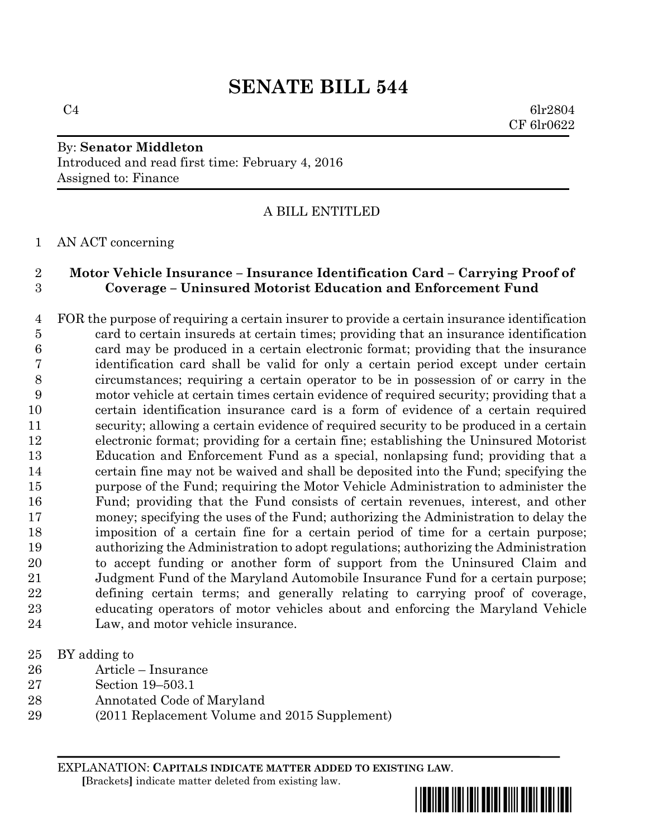# **SENATE BILL 544**

 $C4$  6lr2804 CF 6lr0622

### By: **Senator Middleton** Introduced and read first time: February 4, 2016 Assigned to: Finance

## A BILL ENTITLED

#### AN ACT concerning

#### **Motor Vehicle Insurance – Insurance Identification Card – Carrying Proof of Coverage – Uninsured Motorist Education and Enforcement Fund**

 FOR the purpose of requiring a certain insurer to provide a certain insurance identification card to certain insureds at certain times; providing that an insurance identification card may be produced in a certain electronic format; providing that the insurance identification card shall be valid for only a certain period except under certain circumstances; requiring a certain operator to be in possession of or carry in the motor vehicle at certain times certain evidence of required security; providing that a certain identification insurance card is a form of evidence of a certain required security; allowing a certain evidence of required security to be produced in a certain electronic format; providing for a certain fine; establishing the Uninsured Motorist Education and Enforcement Fund as a special, nonlapsing fund; providing that a certain fine may not be waived and shall be deposited into the Fund; specifying the purpose of the Fund; requiring the Motor Vehicle Administration to administer the Fund; providing that the Fund consists of certain revenues, interest, and other money; specifying the uses of the Fund; authorizing the Administration to delay the imposition of a certain fine for a certain period of time for a certain purpose; authorizing the Administration to adopt regulations; authorizing the Administration to accept funding or another form of support from the Uninsured Claim and Judgment Fund of the Maryland Automobile Insurance Fund for a certain purpose; defining certain terms; and generally relating to carrying proof of coverage, educating operators of motor vehicles about and enforcing the Maryland Vehicle Law, and motor vehicle insurance.

- BY adding to
- Article Insurance
- Section 19–503.1
- Annotated Code of Maryland
- (2011 Replacement Volume and 2015 Supplement)

EXPLANATION: **CAPITALS INDICATE MATTER ADDED TO EXISTING LAW**.  **[**Brackets**]** indicate matter deleted from existing law.

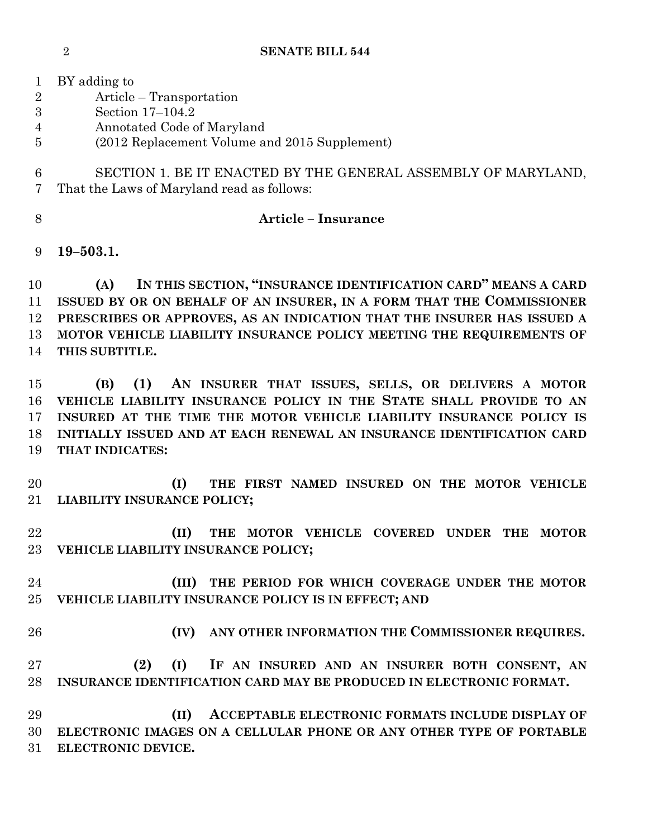**SENATE BILL 544**

 BY adding to Article – Transportation Section 17–104.2 Annotated Code of Maryland (2012 Replacement Volume and 2015 Supplement) SECTION 1. BE IT ENACTED BY THE GENERAL ASSEMBLY OF MARYLAND, That the Laws of Maryland read as follows: **Article – Insurance 19–503.1. (A) IN THIS SECTION, "INSURANCE IDENTIFICATION CARD" MEANS A CARD ISSUED BY OR ON BEHALF OF AN INSURER, IN A FORM THAT THE COMMISSIONER PRESCRIBES OR APPROVES, AS AN INDICATION THAT THE INSURER HAS ISSUED A MOTOR VEHICLE LIABILITY INSURANCE POLICY MEETING THE REQUIREMENTS OF THIS SUBTITLE. (B) (1) AN INSURER THAT ISSUES, SELLS, OR DELIVERS A MOTOR VEHICLE LIABILITY INSURANCE POLICY IN THE STATE SHALL PROVIDE TO AN INSURED AT THE TIME THE MOTOR VEHICLE LIABILITY INSURANCE POLICY IS INITIALLY ISSUED AND AT EACH RENEWAL AN INSURANCE IDENTIFICATION CARD THAT INDICATES: (I) THE FIRST NAMED INSURED ON THE MOTOR VEHICLE LIABILITY INSURANCE POLICY; (II) THE MOTOR VEHICLE COVERED UNDER THE MOTOR VEHICLE LIABILITY INSURANCE POLICY;**

 **(III) THE PERIOD FOR WHICH COVERAGE UNDER THE MOTOR VEHICLE LIABILITY INSURANCE POLICY IS IN EFFECT; AND**

**(IV) ANY OTHER INFORMATION THE COMMISSIONER REQUIRES.**

 **(2) (I) IF AN INSURED AND AN INSURER BOTH CONSENT, AN INSURANCE IDENTIFICATION CARD MAY BE PRODUCED IN ELECTRONIC FORMAT.**

 **(II) ACCEPTABLE ELECTRONIC FORMATS INCLUDE DISPLAY OF ELECTRONIC IMAGES ON A CELLULAR PHONE OR ANY OTHER TYPE OF PORTABLE ELECTRONIC DEVICE.**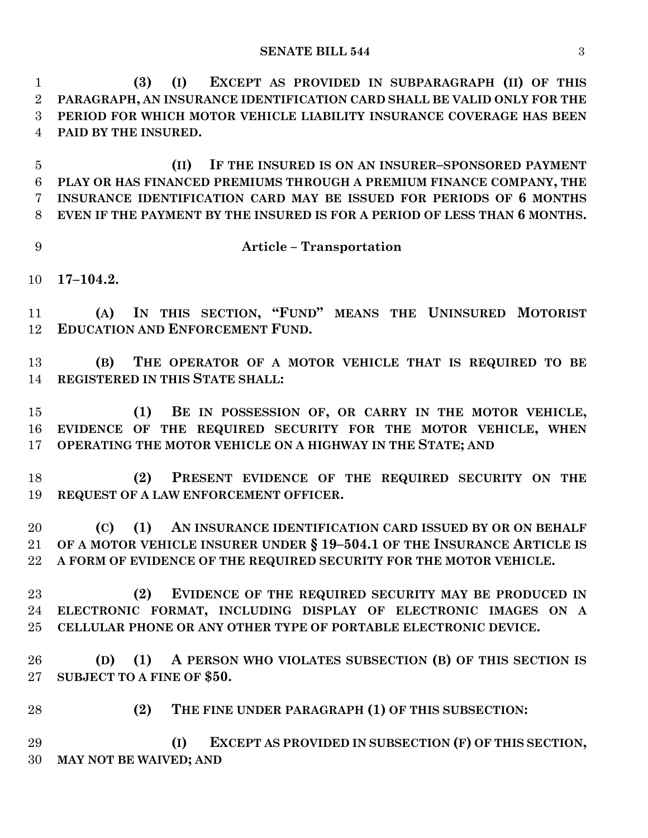**(3) (I) EXCEPT AS PROVIDED IN SUBPARAGRAPH (II) OF THIS PARAGRAPH, AN INSURANCE IDENTIFICATION CARD SHALL BE VALID ONLY FOR THE PERIOD FOR WHICH MOTOR VEHICLE LIABILITY INSURANCE COVERAGE HAS BEEN PAID BY THE INSURED.**

 **(II) IF THE INSURED IS ON AN INSURER–SPONSORED PAYMENT PLAY OR HAS FINANCED PREMIUMS THROUGH A PREMIUM FINANCE COMPANY, THE INSURANCE IDENTIFICATION CARD MAY BE ISSUED FOR PERIODS OF 6 MONTHS EVEN IF THE PAYMENT BY THE INSURED IS FOR A PERIOD OF LESS THAN 6 MONTHS.**

**Article – Transportation**

**17–104.2.**

 **(A) IN THIS SECTION, "FUND" MEANS THE UNINSURED MOTORIST EDUCATION AND ENFORCEMENT FUND.**

 **(B) THE OPERATOR OF A MOTOR VEHICLE THAT IS REQUIRED TO BE REGISTERED IN THIS STATE SHALL:**

 **(1) BE IN POSSESSION OF, OR CARRY IN THE MOTOR VEHICLE, EVIDENCE OF THE REQUIRED SECURITY FOR THE MOTOR VEHICLE, WHEN OPERATING THE MOTOR VEHICLE ON A HIGHWAY IN THE STATE; AND**

 **(2) PRESENT EVIDENCE OF THE REQUIRED SECURITY ON THE REQUEST OF A LAW ENFORCEMENT OFFICER.**

 **(C) (1) AN INSURANCE IDENTIFICATION CARD ISSUED BY OR ON BEHALF OF A MOTOR VEHICLE INSURER UNDER § 19–504.1 OF THE INSURANCE ARTICLE IS A FORM OF EVIDENCE OF THE REQUIRED SECURITY FOR THE MOTOR VEHICLE.**

 **(2) EVIDENCE OF THE REQUIRED SECURITY MAY BE PRODUCED IN ELECTRONIC FORMAT, INCLUDING DISPLAY OF ELECTRONIC IMAGES ON A CELLULAR PHONE OR ANY OTHER TYPE OF PORTABLE ELECTRONIC DEVICE.**

 **(D) (1) A PERSON WHO VIOLATES SUBSECTION (B) OF THIS SECTION IS SUBJECT TO A FINE OF \$50.**

**(2) THE FINE UNDER PARAGRAPH (1) OF THIS SUBSECTION:**

 **(I) EXCEPT AS PROVIDED IN SUBSECTION (F) OF THIS SECTION, MAY NOT BE WAIVED; AND**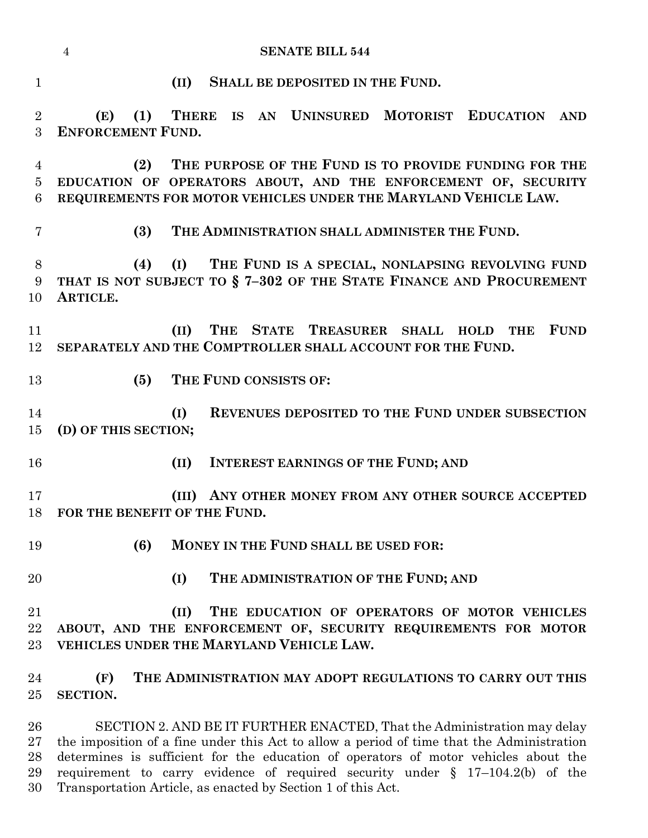|                     | <b>SENATE BILL 544</b><br>$\overline{4}$                                                                                                                           |
|---------------------|--------------------------------------------------------------------------------------------------------------------------------------------------------------------|
| $\mathbf{1}$        | SHALL BE DEPOSITED IN THE FUND.<br>(II)                                                                                                                            |
| $\overline{2}$<br>3 | THERE IS AN UNINSURED MOTORIST EDUCATION<br>(1)<br>(E)<br>AND<br><b>ENFORCEMENT FUND.</b>                                                                          |
| 4<br>$\overline{5}$ | THE PURPOSE OF THE FUND IS TO PROVIDE FUNDING FOR THE<br>(2)<br>EDUCATION OF OPERATORS ABOUT, AND THE ENFORCEMENT OF, SECURITY                                     |
| 6                   | REQUIREMENTS FOR MOTOR VEHICLES UNDER THE MARYLAND VEHICLE LAW.                                                                                                    |
| 7                   | (3)<br>THE ADMINISTRATION SHALL ADMINISTER THE FUND.                                                                                                               |
| 8<br>9<br>10        | (I)<br>THE FUND IS A SPECIAL, NONLAPSING REVOLVING FUND<br>(4)<br>THAT IS NOT SUBJECT TO § 7-302 OF THE STATE FINANCE AND PROCUREMENT<br>ARTICLE.                  |
| 11<br>12            | THE STATE TREASURER SHALL HOLD<br><b>FUND</b><br><b>THE</b><br>(II)<br>SEPARATELY AND THE COMPTROLLER SHALL ACCOUNT FOR THE FUND.                                  |
| 13                  | THE FUND CONSISTS OF:<br>(5)                                                                                                                                       |
| 14<br>15            | REVENUES DEPOSITED TO THE FUND UNDER SUBSECTION<br>(I)<br>(D) OF THIS SECTION;                                                                                     |
| 16                  | <b>INTEREST EARNINGS OF THE FUND; AND</b><br>(II)                                                                                                                  |
| 17<br>18            | (III) ANY OTHER MONEY FROM ANY OTHER SOURCE ACCEPTED<br>FOR THE BENEFIT OF THE FUND.                                                                               |
| 19                  | (6)<br>MONEY IN THE FUND SHALL BE USED FOR:                                                                                                                        |
| 20                  | THE ADMINISTRATION OF THE FUND; AND<br>(I)                                                                                                                         |
| 21<br>22<br>23      | (II)<br>THE EDUCATION OF OPERATORS OF MOTOR VEHICLES<br>ABOUT, AND THE ENFORCEMENT OF, SECURITY REQUIREMENTS FOR MOTOR<br>VEHICLES UNDER THE MARYLAND VEHICLE LAW. |
| 24<br>$25\,$        | THE ADMINISTRATION MAY ADOPT REGULATIONS TO CARRY OUT THIS<br>(F)<br>SECTION.                                                                                      |

 SECTION 2. AND BE IT FURTHER ENACTED, That the Administration may delay the imposition of a fine under this Act to allow a period of time that the Administration determines is sufficient for the education of operators of motor vehicles about the requirement to carry evidence of required security under § 17–104.2(b) of the Transportation Article, as enacted by Section 1 of this Act.